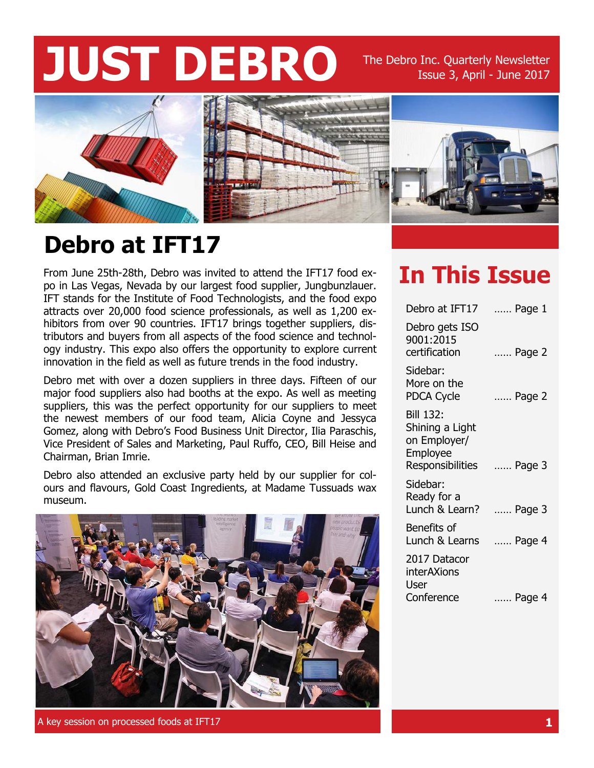# **JUST DEBRO** The Debro Inc. Quarterly Newsletter

Issue 3, April - June 2017



### **Debro at IFT17**

From June 25th-28th, Debro was invited to attend the IFT17 food expo in Las Vegas, Nevada by our largest food supplier, Jungbunzlauer. IFT stands for the Institute of Food Technologists, and the food expo attracts over 20,000 food science professionals, as well as 1,200 exhibitors from over 90 countries. IFT17 brings together suppliers, distributors and buyers from all aspects of the food science and technology industry. This expo also offers the opportunity to explore current innovation in the field as well as future trends in the food industry.

Debro met with over a dozen suppliers in three days. Fifteen of our major food suppliers also had booths at the expo. As well as meeting suppliers, this was the perfect opportunity for our suppliers to meet the newest members of our food team, Alicia Coyne and Jessyca Gomez, along with Debro's Food Business Unit Director, Ilia Paraschis, Vice President of Sales and Marketing, Paul Ruffo, CEO, Bill Heise and Chairman, Brian Imrie.

Debro also attended an exclusive party held by our supplier for colours and flavours, Gold Coast Ingredients, at Madame Tussuads wax museum.



A key session on processed foods at IFT17 **1**

### **In This Issue**

| Debro at IFT17                                                                      | Page 1 |
|-------------------------------------------------------------------------------------|--------|
| Debro gets ISO<br>9001:2015<br>certification                                        | Page 2 |
| Sidebar:<br>More on the<br>PDCA Cycle                                               | Page 2 |
| <b>Bill 132:</b><br>Shining a Light<br>on Employer/<br>Employee<br>Responsibilities | Page 3 |
| Sidebar:<br>Ready for a<br>Lunch & Learn?                                           | Page 3 |
| Benefits of<br>Lunch & Learns                                                       | Page 4 |
| 2017 Datacor<br>interAXions<br>User<br>Conference                                   | Page 4 |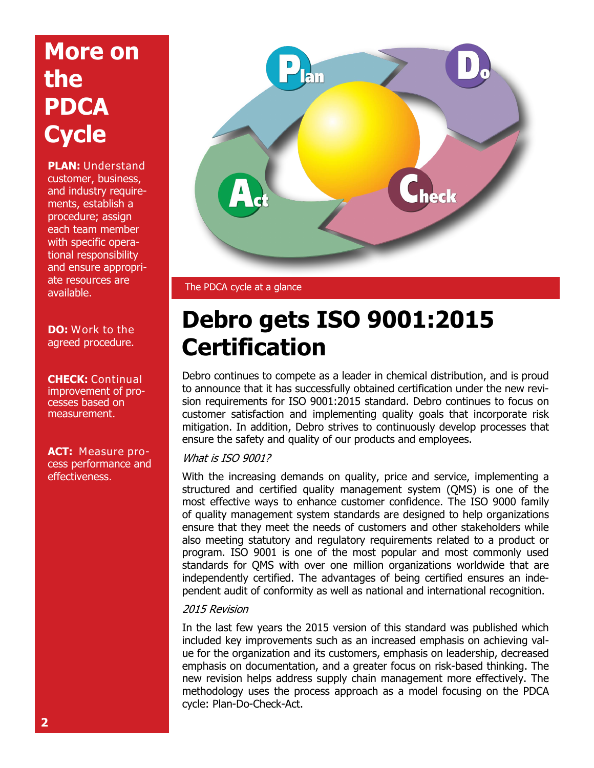# **More on the PDCA Cycle**

**PLAN:** Understand customer, business, and industry requirements, establish a procedure; assign each team member with specific operational responsibility and ensure appropriate resources are available.

**DO:** Work to the agreed procedure.

**CHECK:** Continual improvement of processes based on measurement.

**ACT:** Measure process performance and effectiveness.



The PDCA cycle at a glance

### **Debro gets ISO 9001:2015 Certification**

Debro continues to compete as a leader in chemical distribution, and is proud to announce that it has successfully obtained certification under the new revision requirements for ISO 9001:2015 standard. Debro continues to focus on customer satisfaction and implementing quality goals that incorporate risk mitigation. In addition, Debro strives to continuously develop processes that ensure the safety and quality of our products and employees.

#### What is ISO 9001?

With the increasing demands on quality, price and service, implementing a structured and certified quality management system (QMS) is one of the most effective ways to enhance customer confidence. The ISO 9000 family of quality management system standards are designed to help organizations ensure that they meet the needs of customers and other stakeholders while also meeting statutory and regulatory requirements related to a product or program. ISO 9001 is one of the most popular and most commonly used standards for QMS with over one million organizations worldwide that are independently certified. The advantages of being certified ensures an independent audit of conformity as well as national and international recognition.

#### 2015 Revision

In the last few years the 2015 version of this standard was published which included key improvements such as an increased emphasis on achieving value for the organization and its customers, emphasis on leadership, decreased emphasis on documentation, and a greater focus on risk-based thinking. The new revision helps address supply chain management more effectively. The methodology uses the process approach as a model focusing on the PDCA cycle: Plan-Do-Check-Act.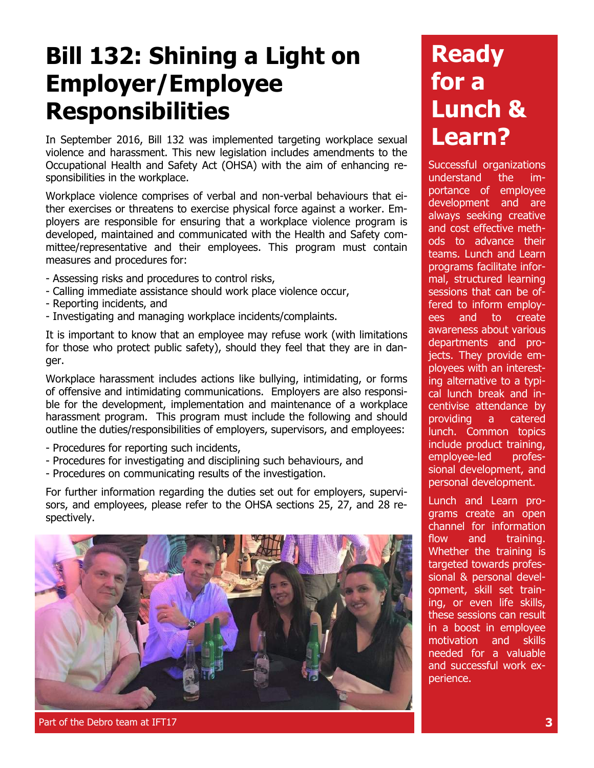### **Bill 132: Shining a Light on Employer/Employee Responsibilities**

In September 2016, Bill 132 was implemented targeting workplace sexual violence and harassment. This new legislation includes amendments to the Occupational Health and Safety Act (OHSA) with the aim of enhancing responsibilities in the workplace.

Workplace violence comprises of verbal and non-verbal behaviours that either exercises or threatens to exercise physical force against a worker. Employers are responsible for ensuring that a workplace violence program is developed, maintained and communicated with the Health and Safety committee/representative and their employees. This program must contain measures and procedures for:

- Assessing risks and procedures to control risks,
- Calling immediate assistance should work place violence occur,
- Reporting incidents, and
- Investigating and managing workplace incidents/complaints.

It is important to know that an employee may refuse work (with limitations for those who protect public safety), should they feel that they are in danger.

Workplace harassment includes actions like bullying, intimidating, or forms of offensive and intimidating communications. Employers are also responsible for the development, implementation and maintenance of a workplace harassment program. This program must include the following and should outline the duties/responsibilities of employers, supervisors, and employees:

- Procedures for reporting such incidents,
- Procedures for investigating and disciplining such behaviours, and
- Procedures on communicating results of the investigation.

For further information regarding the duties set out for employers, supervisors, and employees, please refer to the OHSA sections 25, 27, and 28 respectively.



#### Part of the Debro team at IFT17 **3**

# **Ready for a Lunch & Learn?**

Successful organizations understand the importance of employee development and are always seeking creative and cost effective methods to advance their teams. Lunch and Learn programs facilitate informal, structured learning sessions that can be offered to inform employees and to create awareness about various departments and projects. They provide employees with an interesting alternative to a typical lunch break and incentivise attendance by providing a catered lunch. Common topics include product training, employee-led professional development, and personal development.

Lunch and Learn programs create an open channel for information flow and training. Whether the training is targeted towards professional & personal development, skill set training, or even life skills, these sessions can result in a boost in employee motivation and skills needed for a valuable and successful work experience.